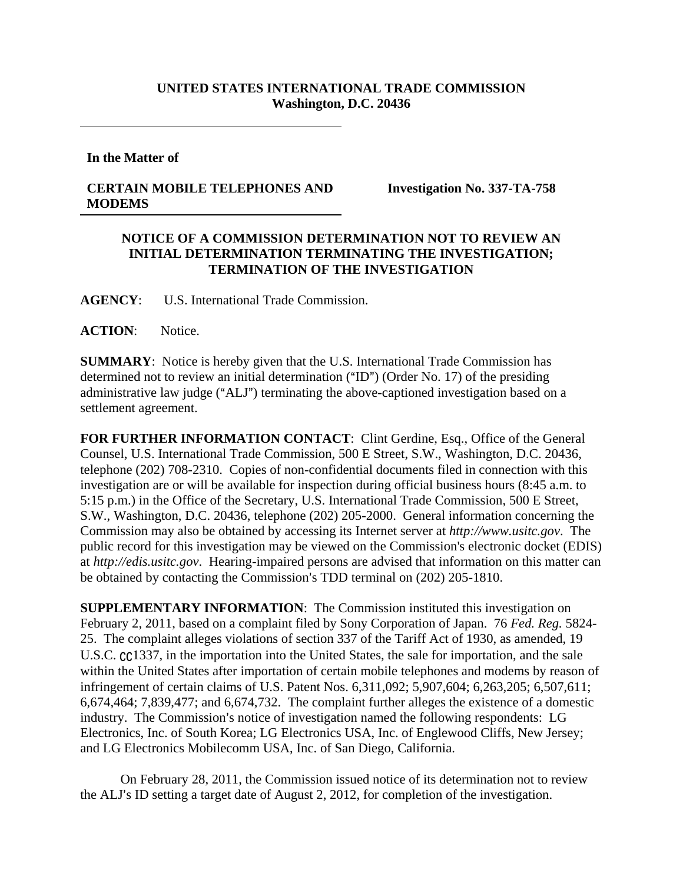## **UNITED STATES INTERNATIONAL TRADE COMMISSION Washington, D.C. 20436**

**In the Matter of** 

## **CERTAIN MOBILE TELEPHONES AND MODEMS**

**Investigation No. 337-TA-758** 

## **NOTICE OF A COMMISSION DETERMINATION NOT TO REVIEW AN INITIAL DETERMINATION TERMINATING THE INVESTIGATION; TERMINATION OF THE INVESTIGATION**

**AGENCY**: U.S. International Trade Commission.

**ACTION**: Notice.

**SUMMARY**: Notice is hereby given that the U.S. International Trade Commission has determined not to review an initial determination ("ID") (Order No. 17) of the presiding administrative law judge ("ALJ") terminating the above-captioned investigation based on a settlement agreement.

FOR FURTHER INFORMATION CONTACT: Clint Gerdine, Esq., Office of the General Counsel, U.S. International Trade Commission, 500 E Street, S.W., Washington, D.C. 20436, telephone (202) 708-2310. Copies of non-confidential documents filed in connection with this investigation are or will be available for inspection during official business hours (8:45 a.m. to 5:15 p.m.) in the Office of the Secretary, U.S. International Trade Commission, 500 E Street, S.W., Washington, D.C. 20436, telephone (202) 205-2000. General information concerning the Commission may also be obtained by accessing its Internet server at *http://www.usitc.gov*. The public record for this investigation may be viewed on the Commission's electronic docket (EDIS) at *http://edis.usitc.gov*. Hearing-impaired persons are advised that information on this matter can be obtained by contacting the Commission's TDD terminal on (202) 205-1810.

**SUPPLEMENTARY INFORMATION:** The Commission instituted this investigation on February 2, 2011, based on a complaint filed by Sony Corporation of Japan. 76 *Fed. Reg.* 5824- 25. The complaint alleges violations of section 337 of the Tariff Act of 1930, as amended, 19 U.S.C.  $cc$ 1337, in the importation into the United States, the sale for importation, and the sale within the United States after importation of certain mobile telephones and modems by reason of infringement of certain claims of U.S. Patent Nos. 6,311,092; 5,907,604; 6,263,205; 6,507,611; 6,674,464; 7,839,477; and 6,674,732. The complaint further alleges the existence of a domestic industry. The Commission's notice of investigation named the following respondents: LG Electronics, Inc. of South Korea; LG Electronics USA, Inc. of Englewood Cliffs, New Jersey; and LG Electronics Mobilecomm USA, Inc. of San Diego, California.

On February 28, 2011, the Commission issued notice of its determination not to review the ALJ's ID setting a target date of August 2, 2012, for completion of the investigation.